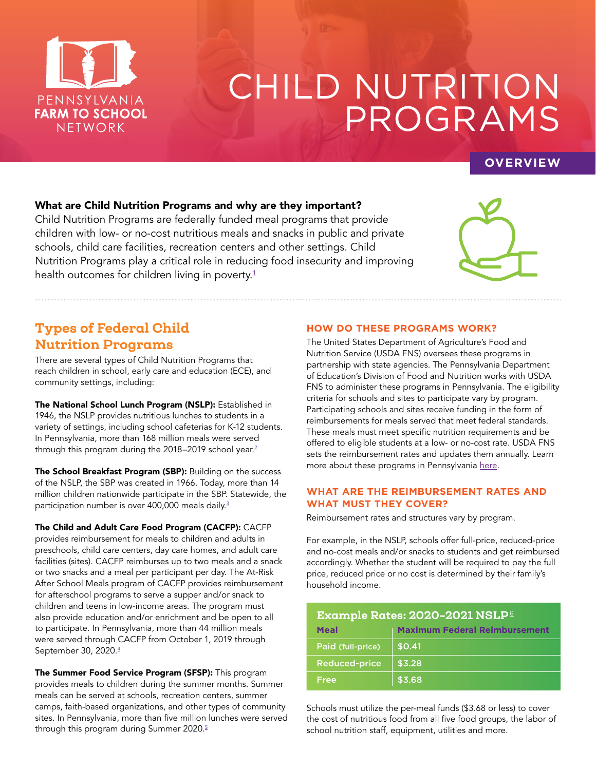

# CHILD NUTRITION PROGRAMS

## **OVERVIEW**

#### What are Child Nutrition Programs and why are they important?

Child Nutrition Programs are federally funded meal programs that provide children with low- or no-cost nutritious meals and snacks in public and private schools, child care facilities, recreation centers and other settings. Child Nutrition Programs play a critical role in reducing food insecurity and improving health outcomes for children living in poverty.<sup>[1](https://frac.org/research/resource-library/hunger-health-role-federal-child-nutrition-programs-improving-health-well )</sup>



# Types of Federal Child Nutrition Programs

There are several types of Child Nutrition Programs that reach children in school, early care and education (ECE), and community settings, including:

The National School Lunch Program (NSLP): Established in 1946, the NSLP provides nutritious lunches to students in a variety of settings, including school cafeterias for K-12 students. In Pennsylvania, more than 168 million meals were served through this program during the 2018-2019 school year.<sup>2</sup>

The School Breakfast Program (SBP): Building on the success of the NSLP, the SBP was created in 1966. Today, more than 14 million children nationwide participate in the SBP. Statewide, the participation number is over 400,000 meals daily.<sup>[3](https://www.education.pa.gov/Teachers%20-%20Administrators/Food-Nutrition/programs/Pages/School-Breakfast-Program.aspx)</sup>

The Child and Adult Care Food Program (CACFP): CACFP

provides reimbursement for meals to children and adults in preschools, child care centers, day care homes, and adult care facilities (sites). CACFP reimburses up to two meals and a snack or two snacks and a meal per participant per day. The At-Risk After School Meals program of CACFP provides reimbursement for afterschool programs to serve a supper and/or snack to children and teens in low-income areas. The program must also provide education and/or enrichment and be open to all to participate. In Pennsylvania, more than 44 million meals were served through CACFP from October 1, 2019 through September 30, 2020.[4](https://www.education.pa.gov/Teachers%20-%20Administrators/Food-Nutrition/reports/Pages/Child-and-Adult-Care-Program-Reports.aspx)

The Summer Food Service Program (SFSP): This program provides meals to children during the summer months. Summer meals can be served at schools, recreation centers, summer camps, faith-based organizations, and other types of community sites. In Pennsylvania, more than five million lunches were served through this program during Summer 2020.<sup>[5](https://www.education.pa.gov/Teachers%20-%20Administrators/Food-Nutrition/reports/Pages/Summer-Food-Service-Program-Reports.aspx)</sup>

#### **HOW DO THESE PROGRAMS WORK?**

The United States Department of Agriculture's Food and Nutrition Service (USDA FNS) oversees these programs in partnership with state agencies. The Pennsylvania Department of Education's Division of Food and Nutrition works with USDA FNS to administer these programs in Pennsylvania. The eligibility criteria for schools and sites to participate vary by program. Participating schools and sites receive funding in the form of reimbursements for meals served that meet federal standards. These meals must meet specific nutrition requirements and be offered to eligible students at a low- or no-cost rate. USDA FNS sets the reimbursement rates and updates them annually. Learn more about these programs in Pennsylvania [here.](https://www.education.pa.gov/Teachers%20-%20Administrators/Food-Nutrition/programs/Pages/default.aspx)

#### **WHAT ARE THE REIMBURSEMENT RATES AND WHAT MUST THEY COVER?**

Reimbursement rates and structures vary by program.

For example, in the NSLP, schools offer full-price, reduced-price and no-cost meals and/or snacks to students and get reimbursed accordingly. Whether the student will be required to pay the full price, reduced price or no cost is determined by their family's household income.

| <b>Example Rates: 2020-2021 NSLP6</b> |                                      |
|---------------------------------------|--------------------------------------|
| <b>Meal</b>                           | <b>Maximum Federal Reimbursement</b> |
| Paid (full-price)                     | \$0.41                               |
| <b>Reduced-price</b>                  | \$3.28                               |
| Free                                  | \$3.68                               |

Schools must utilize the per-meal funds (\$3.68 or less) to cover the cost of nutritious food from all five food groups, the labor of school nutrition staff, equipment, utilities and more.